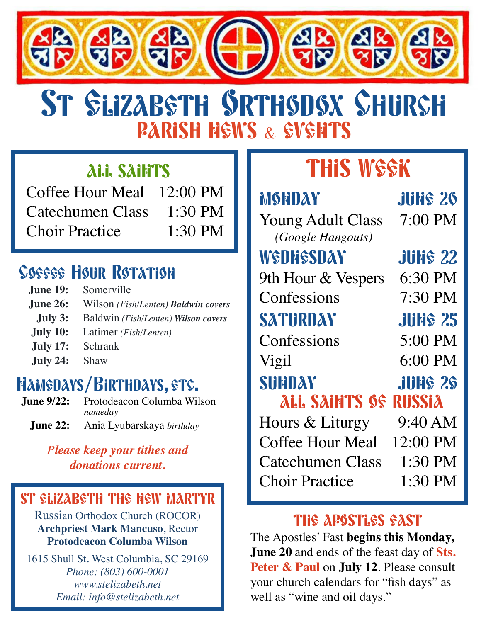

# PARISH HEWS & EVENTS ST SLIZABSTH SRTHSDSX SHURCH

## ALL SAINTS

Coffee Hour Meal 12:00 PM Catechumen Class 1:30 PM Choir Practice 1:30 PM

# **Coffee Hour Rotation**

- **June 19:** Somerville
- **June 26:** Wilson *(Fish/Lenten) Baldwin covers*
- **July 3:** Baldwin *(Fish/Lenten) Wilson covers*
- **July 10:** Latimer *(Fish/Lenten)*
- **July 17:** Schrank
- **July 24:** Shaw

#### **A Signup Genius for these meals will be emailed this week.**  Namedays/Birthdays, etc.

**June 9/22:** Protodeacon Columba Wilson *nameday*

**June 22:** Ania Lyubarskaya *birthday*

### *Please keep your tithes and donations current.*

### ST ELIZABETH THE NEW MARTYR

Russian Orthodox Church (ROCOR) **Archpriest Mark Mancuso**, Rector **Protodeacon Columba Wilson**

1615 Shull St. West Columbia, SC 29169 *Phone: (803) 600-0001 www.stelizabeth.net Email: info@stelizabeth.net*

# **THIS WEEK**

## MSHDAY JUNE 26

Young Adult Class 7:00 PM  *(Google Hangouts)* WSDHSSDAY JUNS 22 9th Hour & Vespers 6:30 PM Confessions 7:30 PM SATURDAY JUNE 25 Confessions 5:00 PM Vigil 6:00 PM SUNDAY JUNS 2\$ ALL SAINTS OF RUSSIA Hours & Liturgy 9:40 AM

Coffee Hour Meal 12:00 PM Catechumen Class 1:30 PM Choir Practice 1:30 PM

### THE APSSTLES FAST

The Apostles' Fast **begins this Monday, June 20** and ends of the feast day of **Sts. Peter & Paul** on **July 12**. Please consult your church calendars for "fish days" as well as "wine and oil days."